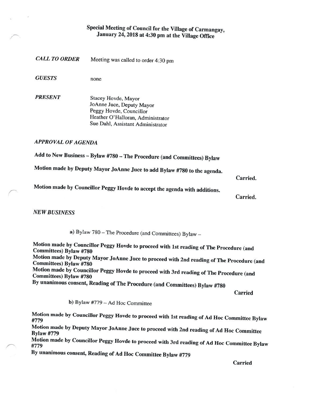## Special Meeting of Council for the Village of Carmangay, January 24, 2018 at 4:30 pm at the Village Office

CALL TO ORDER Meeting was called to order 4:30 pm

GUESTS none

PRESENT Stacey Hovde, Mayor JoAnne Juce, Deputy Mayor Peggy Hovde, Councillor Heather O'Halloran, Administrator Sue Dahi, Assistant Administrator

APPROVAL OF AGENDA

Add to New Business — Bylaw #780 — The Procedure (and Committees) Bylaw

Motion made by Deputy Mayor JoAnne Juce to add Bylaw #780 to the agenda.

## Carried.

Motion made by Councillor Peggy Hovde to accept the agenda with additions.

Carried.

NEW BUSINESS

a) Bylaw <sup>780</sup> — The Procedure (and Committees) Bylaw —

Motion made by Councillor Peggy Hovde to proceed with 1st reading of The Procedure (and Committees) Bylaw #780 Motion made by Deputy Mayor JoAnne Juce to proceed with 2nd reading of The Procedure (and Committees) Bylaw #780 Motion made by Councillor Peggy Hovde to proceed with 3rd reading of The Procedure (and Committees) Bylaw #780 By unanimous consent, Reading of The Procedure (and Committees) Bylaw #780

Carried

b) Bylaw #779 — Ad Hoc Committee

Motion made by Councillor Peggy Hovde to proceed with 1st reading of Ad Hoc Committee Bylaw #779

Motion made by Deputy Mayor JoAnne Juce to proceed with 2nd reading of Ad Hoc Committee Bylaw #779

Motion made by Councillor Peggy Hovde to proceed with 3rd reading of Ad Hoc Committee Bylaw #779

By unanimous consent, Reading of Ad Hoc Committee Bylaw #779

Carried